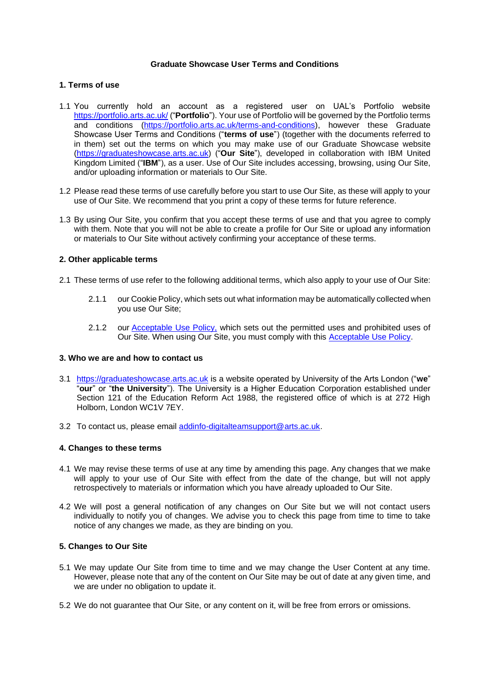## **Graduate Showcase User Terms and Conditions**

## **1. Terms of use**

- 1.1 You currently hold an account as a registered user on UAL's Portfolio website <https://portfolio.arts.ac.uk/> ("**Portfolio**"). Your use of Portfolio will be governed by the Portfolio terms and conditions [\(https://portfolio.arts.ac.uk/terms-and-conditions\)](https://portfolio.arts.ac.uk/terms-and-conditions), however these Graduate Showcase User Terms and Conditions ("**terms of use**") (together with the documents referred to in them) set out the terms on which you may make use of our Graduate Showcase website [\(https://graduateshowcase.arts.ac.uk\)](https://graduateshowcase.arts.ac.uk/) ("**Our Site**"), developed in collaboration with IBM United Kingdom Limited ("**IBM**"), as a user. Use of Our Site includes accessing, browsing, using Our Site, and/or uploading information or materials to Our Site.
- 1.2 Please read these terms of use carefully before you start to use Our Site, as these will apply to your use of Our Site. We recommend that you print a copy of these terms for future reference.
- 1.3 By using Our Site, you confirm that you accept these terms of use and that you agree to comply with them. Note that you will not be able to create a profile for Our Site or upload any information or materials to Our Site without actively confirming your acceptance of these terms.

## **2. Other applicable terms**

- 2.1 These terms of use refer to the following additional terms, which also apply to your use of Our Site:
	- 2.1.1 our Cookie Policy, which sets out what information may be automatically collected when you use Our Site;
	- 2.1.2 our [Acceptable Use Policy,](#page-5-0) which sets out the permitted uses and prohibited uses of Our Site. When using Our Site, you must comply with this [Acceptable Use Policy.](#page-5-0)

# **3. Who we are and how to contact us**

- 3.1 [https://graduateshowcase.arts.ac.uk](https://graduateshowcase.arts.ac.uk/) is a website operated by University of the Arts London ("**we**" "**our**" or "**the University**"). The University is a Higher Education Corporation established under Section 121 of the Education Reform Act 1988, the registered office of which is at 272 High Holborn, London WC1V 7EY.
- 3.2 To contact us, please email [addinfo-digitalteamsupport@arts.ac.uk.](mailto:addinfo-digitalteamsupport@arts.ac.uk)

#### **4. Changes to these terms**

- 4.1 We may revise these terms of use at any time by amending this page. Any changes that we make will apply to your use of Our Site with effect from the date of the change, but will not apply retrospectively to materials or information which you have already uploaded to Our Site.
- 4.2 We will post a general notification of any changes on Our Site but we will not contact users individually to notify you of changes. We advise you to check this page from time to time to take notice of any changes we made, as they are binding on you.

# **5. Changes to Our Site**

- 5.1 We may update Our Site from time to time and we may change the User Content at any time. However, please note that any of the content on Our Site may be out of date at any given time, and we are under no obligation to update it.
- 5.2 We do not guarantee that Our Site, or any content on it, will be free from errors or omissions.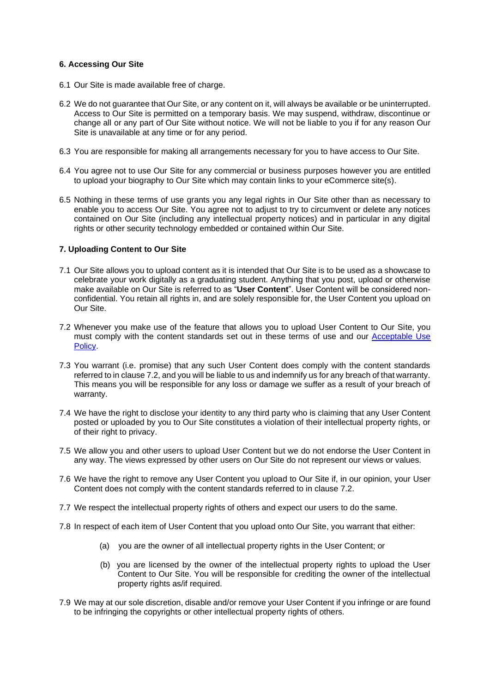## **6. Accessing Our Site**

- 6.1 Our Site is made available free of charge.
- 6.2 We do not guarantee that Our Site, or any content on it, will always be available or be uninterrupted. Access to Our Site is permitted on a temporary basis. We may suspend, withdraw, discontinue or change all or any part of Our Site without notice. We will not be liable to you if for any reason Our Site is unavailable at any time or for any period.
- 6.3 You are responsible for making all arrangements necessary for you to have access to Our Site.
- 6.4 You agree not to use Our Site for any commercial or business purposes however you are entitled to upload your biography to Our Site which may contain links to your eCommerce site(s).
- 6.5 Nothing in these terms of use grants you any legal rights in Our Site other than as necessary to enable you to access Our Site. You agree not to adjust to try to circumvent or delete any notices contained on Our Site (including any intellectual property notices) and in particular in any digital rights or other security technology embedded or contained within Our Site.

#### **7. Uploading Content to Our Site**

- 7.1 Our Site allows you to upload content as it is intended that Our Site is to be used as a showcase to celebrate your work digitally as a graduating student. Anything that you post, upload or otherwise make available on Our Site is referred to as "**User Content**". User Content will be considered nonconfidential. You retain all rights in, and are solely responsible for, the User Content you upload on Our Site.
- 7.2 Whenever you make use of the feature that allows you to upload User Content to Our Site, you must comply with the content standards set out in these terms of use and our [Acceptable Use](#page-5-0)  [Policy.](#page-5-0)
- 7.3 You warrant (i.e. promise) that any such User Content does comply with the content standards referred to in clause 7.2, and you will be liable to us and indemnify us for any breach of that warranty. This means you will be responsible for any loss or damage we suffer as a result of your breach of warranty.
- 7.4 We have the right to disclose your identity to any third party who is claiming that any User Content posted or uploaded by you to Our Site constitutes a violation of their intellectual property rights, or of their right to privacy.
- 7.5 We allow you and other users to upload User Content but we do not endorse the User Content in any way. The views expressed by other users on Our Site do not represent our views or values.
- 7.6 We have the right to remove any User Content you upload to Our Site if, in our opinion, your User Content does not comply with the content standards referred to in clause 7.2.
- 7.7 We respect the intellectual property rights of others and expect our users to do the same.
- 7.8 In respect of each item of User Content that you upload onto Our Site, you warrant that either:
	- (a) you are the owner of all intellectual property rights in the User Content; or
	- (b) you are licensed by the owner of the intellectual property rights to upload the User Content to Our Site. You will be responsible for crediting the owner of the intellectual property rights as/if required.
- 7.9 We may at our sole discretion, disable and/or remove your User Content if you infringe or are found to be infringing the copyrights or other intellectual property rights of others.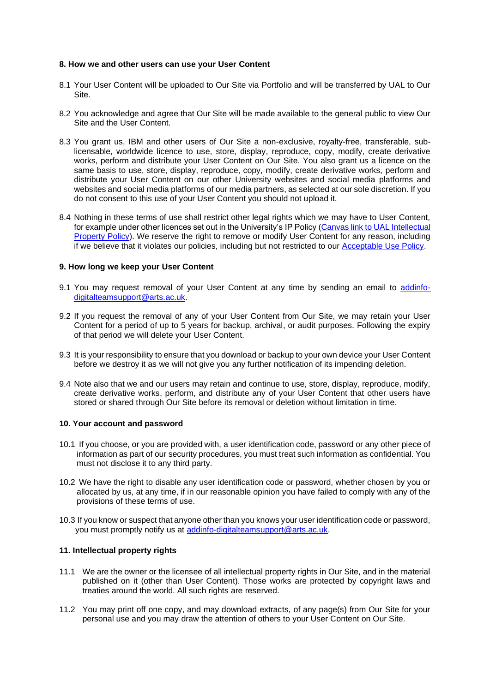#### **8. How we and other users can use your User Content**

- 8.1 Your User Content will be uploaded to Our Site via Portfolio and will be transferred by UAL to Our Site.
- 8.2 You acknowledge and agree that Our Site will be made available to the general public to view Our Site and the User Content.
- 8.3 You grant us, IBM and other users of Our Site a non-exclusive, royalty-free, transferable, sublicensable, worldwide licence to use, store, display, reproduce, copy, modify, create derivative works, perform and distribute your User Content on Our Site. You also grant us a licence on the same basis to use, store, display, reproduce, copy, modify, create derivative works, perform and distribute your User Content on our other University websites and social media platforms and websites and social media platforms of our media partners, as selected at our sole discretion. If you do not consent to this use of your User Content you should not upload it.
- 8.4 Nothing in these terms of use shall restrict other legal rights which we may have to User Content, for example under other licences set out in the University's IP Policy (Canvas link to UAL Intellectual [Property Policy\)](https://artslondon.sharepoint.com/sites/CanvasContent/Documents/UAL%20IP%20POLICY%20(PDF%20646KB).pdf). We reserve the right to remove or modify User Content for any reason, including if we believe that it violates our policies, including but not restricted to our [Acceptable Use Policy.](#page-5-0)

## **9. How long we keep your User Content**

- 9.1 You may request removal of your User Content at any time by sending an email to [addinfo](mailto:addinfo-digitalteamsupport@arts.ac.uk)[digitalteamsupport@arts.ac.uk.](mailto:addinfo-digitalteamsupport@arts.ac.uk)
- 9.2 If you request the removal of any of your User Content from Our Site, we may retain your User Content for a period of up to 5 years for backup, archival, or audit purposes. Following the expiry of that period we will delete your User Content.
- 9.3 It is your responsibility to ensure that you download or backup to your own device your User Content before we destroy it as we will not give you any further notification of its impending deletion.
- 9.4 Note also that we and our users may retain and continue to use, store, display, reproduce, modify, create derivative works, perform, and distribute any of your User Content that other users have stored or shared through Our Site before its removal or deletion without limitation in time.

#### **10. Your account and password**

- 10.1 If you choose, or you are provided with, a user identification code, password or any other piece of information as part of our security procedures, you must treat such information as confidential. You must not disclose it to any third party.
- 10.2 We have the right to disable any user identification code or password, whether chosen by you or allocated by us, at any time, if in our reasonable opinion you have failed to comply with any of the provisions of these terms of use.
- 10.3 If you know or suspect that anyone other than you knows your user identification code or password, you must promptly notify us at [addinfo-digitalteamsupport@arts.ac.uk.](mailto:addinfo-digitalteamsupport@arts.ac.uk)

#### **11. Intellectual property rights**

- 11.1 We are the owner or the licensee of all intellectual property rights in Our Site, and in the material published on it (other than User Content). Those works are protected by copyright laws and treaties around the world. All such rights are reserved.
- 11.2 You may print off one copy, and may download extracts, of any page(s) from Our Site for your personal use and you may draw the attention of others to your User Content on Our Site.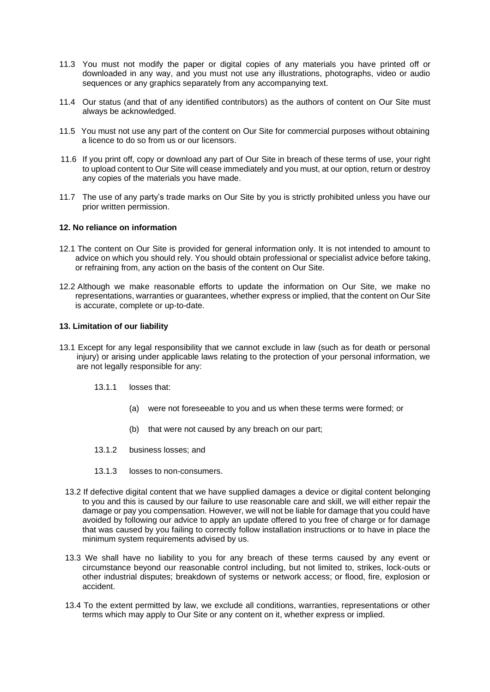- 11.3 You must not modify the paper or digital copies of any materials you have printed off or downloaded in any way, and you must not use any illustrations, photographs, video or audio sequences or any graphics separately from any accompanying text.
- 11.4 Our status (and that of any identified contributors) as the authors of content on Our Site must always be acknowledged.
- 11.5 You must not use any part of the content on Our Site for commercial purposes without obtaining a licence to do so from us or our licensors.
- 11.6 If you print off, copy or download any part of Our Site in breach of these terms of use, your right to upload content to Our Site will cease immediately and you must, at our option, return or destroy any copies of the materials you have made.
- 11.7 The use of any party's trade marks on Our Site by you is strictly prohibited unless you have our prior written permission.

#### **12. No reliance on information**

- 12.1 The content on Our Site is provided for general information only. It is not intended to amount to advice on which you should rely. You should obtain professional or specialist advice before taking, or refraining from, any action on the basis of the content on Our Site.
- 12.2 Although we make reasonable efforts to update the information on Our Site, we make no representations, warranties or guarantees, whether express or implied, that the content on Our Site is accurate, complete or up-to-date.

#### **13. Limitation of our liability**

- 13.1 Except for any legal responsibility that we cannot exclude in law (such as for death or personal injury) or arising under applicable laws relating to the protection of your personal information, we are not legally responsible for any:
	- 13.1.1 losses that:
		- (a) were not foreseeable to you and us when these terms were formed; or
		- (b) that were not caused by any breach on our part;
	- 13.1.2 business losses; and
	- 13.1.3 losses to non-consumers.
	- 13.2 If defective digital content that we have supplied damages a device or digital content belonging to you and this is caused by our failure to use reasonable care and skill, we will either repair the damage or pay you compensation. However, we will not be liable for damage that you could have avoided by following our advice to apply an update offered to you free of charge or for damage that was caused by you failing to correctly follow installation instructions or to have in place the minimum system requirements advised by us.
	- 13.3 We shall have no liability to you for any breach of these terms caused by any event or circumstance beyond our reasonable control including, but not limited to, strikes, lock-outs or other industrial disputes; breakdown of systems or network access; or flood, fire, explosion or accident.
	- 13.4 To the extent permitted by law, we exclude all conditions, warranties, representations or other terms which may apply to Our Site or any content on it, whether express or implied.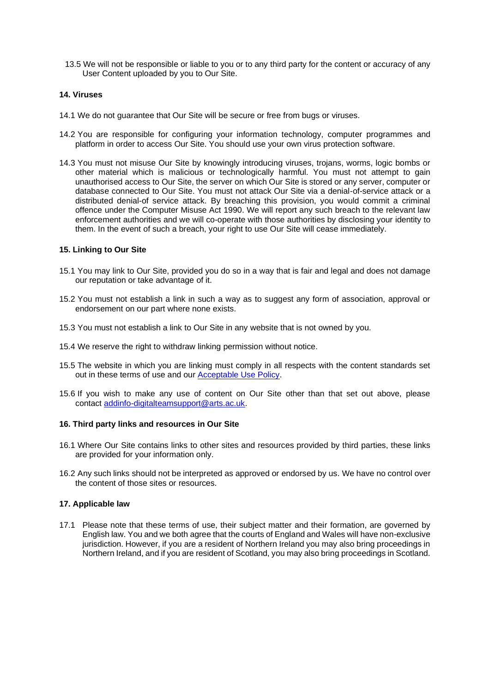13.5 We will not be responsible or liable to you or to any third party for the content or accuracy of any User Content uploaded by you to Our Site.

## **14. Viruses**

- 14.1 We do not guarantee that Our Site will be secure or free from bugs or viruses.
- 14.2 You are responsible for configuring your information technology, computer programmes and platform in order to access Our Site. You should use your own virus protection software.
- 14.3 You must not misuse Our Site by knowingly introducing viruses, trojans, worms, logic bombs or other material which is malicious or technologically harmful. You must not attempt to gain unauthorised access to Our Site, the server on which Our Site is stored or any server, computer or database connected to Our Site. You must not attack Our Site via a denial-of-service attack or a distributed denial-of service attack. By breaching this provision, you would commit a criminal offence under the Computer Misuse Act 1990. We will report any such breach to the relevant law enforcement authorities and we will co-operate with those authorities by disclosing your identity to them. In the event of such a breach, your right to use Our Site will cease immediately.

#### **15. Linking to Our Site**

- 15.1 You may link to Our Site, provided you do so in a way that is fair and legal and does not damage our reputation or take advantage of it.
- 15.2 You must not establish a link in such a way as to suggest any form of association, approval or endorsement on our part where none exists.
- 15.3 You must not establish a link to Our Site in any website that is not owned by you.
- 15.4 We reserve the right to withdraw linking permission without notice.
- 15.5 The website in which you are linking must comply in all respects with the content standards set out in these terms of use and our [Acceptable Use Policy.](#page-5-0)
- 15.6 If you wish to make any use of content on Our Site other than that set out above, please contact [addinfo-digitalteamsupport@arts.ac.uk.](mailto:addinfo-digitalteamsupport@arts.ac.uk)

#### **16. Third party links and resources in Our Site**

- 16.1 Where Our Site contains links to other sites and resources provided by third parties, these links are provided for your information only.
- 16.2 Any such links should not be interpreted as approved or endorsed by us. We have no control over the content of those sites or resources.

#### **17. Applicable law**

17.1 Please note that these terms of use, their subject matter and their formation, are governed by English law. You and we both agree that the courts of England and Wales will have non-exclusive jurisdiction. However, if you are a resident of Northern Ireland you may also bring proceedings in Northern Ireland, and if you are resident of Scotland, you may also bring proceedings in Scotland.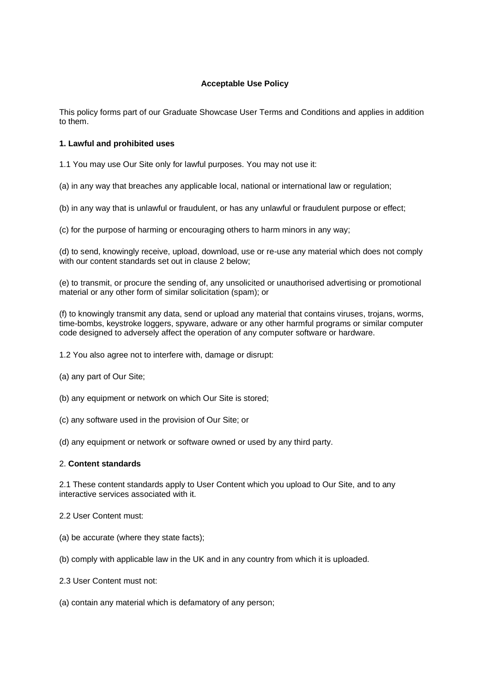# **Acceptable Use Policy**

<span id="page-5-0"></span>This policy forms part of our Graduate Showcase User Terms and Conditions and applies in addition to them.

## **1. Lawful and prohibited uses**

1.1 You may use Our Site only for lawful purposes. You may not use it:

(a) in any way that breaches any applicable local, national or international law or regulation;

(b) in any way that is unlawful or fraudulent, or has any unlawful or fraudulent purpose or effect;

(c) for the purpose of harming or encouraging others to harm minors in any way;

(d) to send, knowingly receive, upload, download, use or re-use any material which does not comply with our content standards set out in clause 2 below:

(e) to transmit, or procure the sending of, any unsolicited or unauthorised advertising or promotional material or any other form of similar solicitation (spam); or

(f) to knowingly transmit any data, send or upload any material that contains viruses, trojans, worms, time-bombs, keystroke loggers, spyware, adware or any other harmful programs or similar computer code designed to adversely affect the operation of any computer software or hardware.

1.2 You also agree not to interfere with, damage or disrupt:

- (a) any part of Our Site;
- (b) any equipment or network on which Our Site is stored;
- (c) any software used in the provision of Our Site; or

(d) any equipment or network or software owned or used by any third party.

# 2. **Content standards**

2.1 These content standards apply to User Content which you upload to Our Site, and to any interactive services associated with it.

- 2.2 User Content must:
- (a) be accurate (where they state facts);
- (b) comply with applicable law in the UK and in any country from which it is uploaded.
- 2.3 User Content must not:
- (a) contain any material which is defamatory of any person;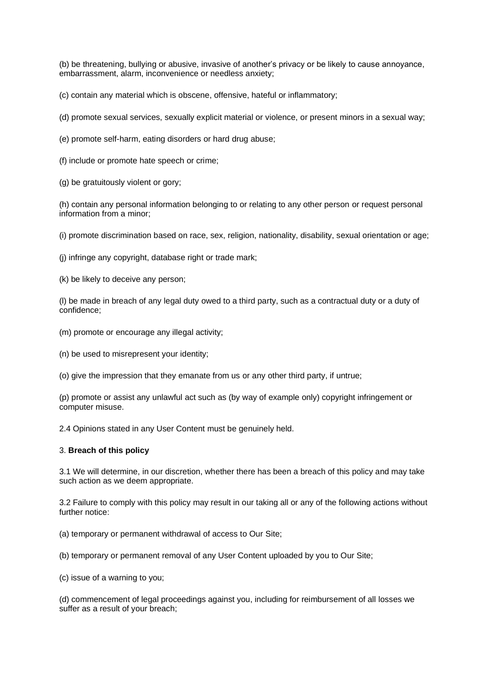(b) be threatening, bullying or abusive, invasive of another's privacy or be likely to cause annoyance, embarrassment, alarm, inconvenience or needless anxiety;

(c) contain any material which is obscene, offensive, hateful or inflammatory;

(d) promote sexual services, sexually explicit material or violence, or present minors in a sexual way;

(e) promote self-harm, eating disorders or hard drug abuse;

(f) include or promote hate speech or crime;

(g) be gratuitously violent or gory;

(h) contain any personal information belonging to or relating to any other person or request personal information from a minor;

(i) promote discrimination based on race, sex, religion, nationality, disability, sexual orientation or age;

(j) infringe any copyright, database right or trade mark;

(k) be likely to deceive any person;

(l) be made in breach of any legal duty owed to a third party, such as a contractual duty or a duty of confidence;

- (m) promote or encourage any illegal activity;
- (n) be used to misrepresent your identity;

(o) give the impression that they emanate from us or any other third party, if untrue;

(p) promote or assist any unlawful act such as (by way of example only) copyright infringement or computer misuse.

2.4 Opinions stated in any User Content must be genuinely held.

#### 3. **Breach of this policy**

3.1 We will determine, in our discretion, whether there has been a breach of this policy and may take such action as we deem appropriate.

3.2 Failure to comply with this policy may result in our taking all or any of the following actions without further notice:

(a) temporary or permanent withdrawal of access to Our Site;

(b) temporary or permanent removal of any User Content uploaded by you to Our Site;

(c) issue of a warning to you;

(d) commencement of legal proceedings against you, including for reimbursement of all losses we suffer as a result of your breach;